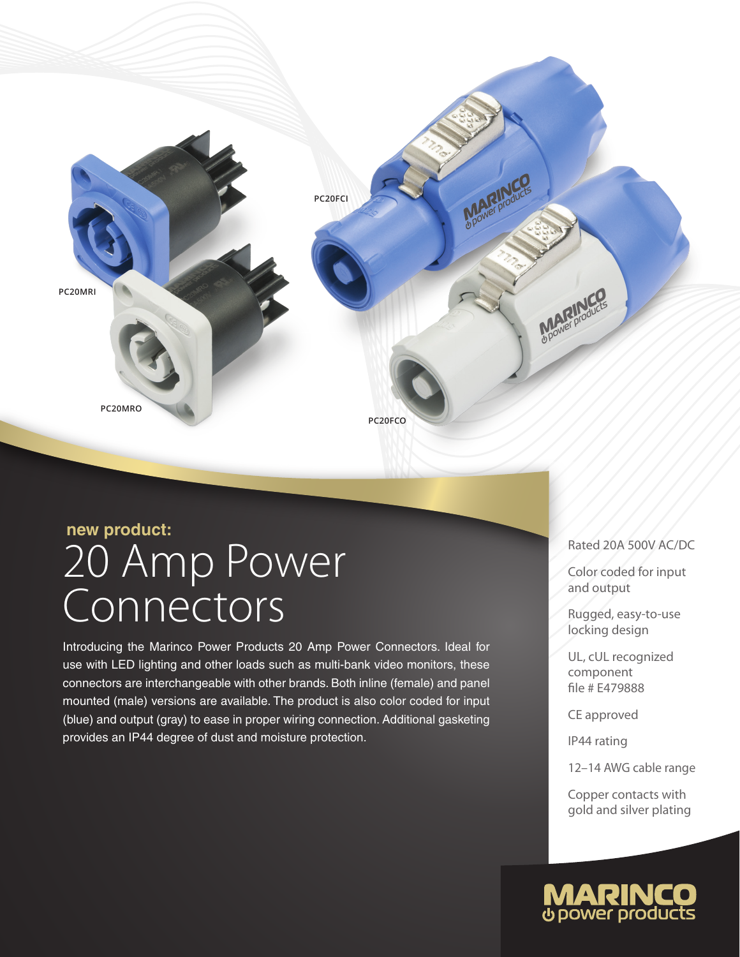

# 20 Amp Power **Connectors new product:**

Introducing the Marinco Power Products 20 Amp Power Connectors. Ideal for use with LED lighting and other loads such as multi-bank video monitors, these connectors are interchangeable with other brands. Both inline (female) and panel mounted (male) versions are available. The product is also color coded for input (blue) and output (gray) to ease in proper wiring connection. Additional gasketing provides an IP44 degree of dust and moisture protection.

### Rated 20A 500V AC/DC

Color coded for input and output

Rugged, easy-to-use locking design

UL, cUL recognized component file # E479888

CE approved

IP44 rating

12–14 AWG cable range

Copper contacts with gold and silver plating